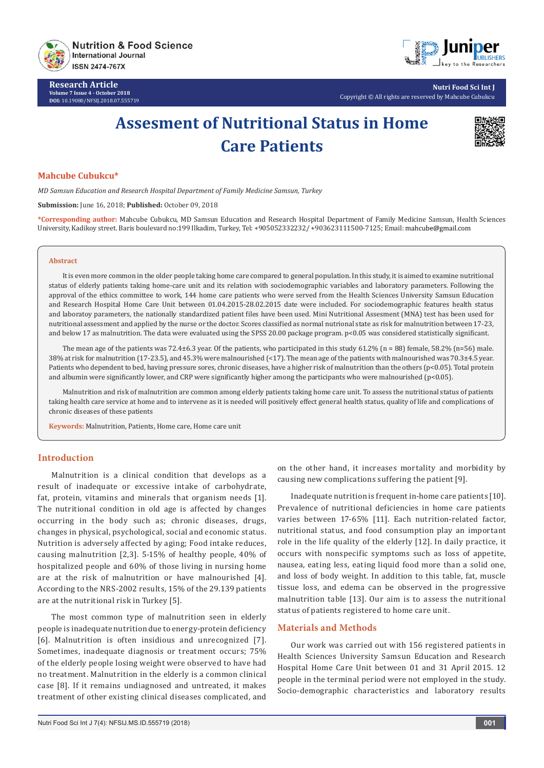

**Research Article Volume 7 Issue 4 - October 2018 DOI:** [10.19080/NFSIJ.2018.07.555719](http://dx.doi.org/10.19080/NFSIJ.2018.07.555719)



**Nutri Food Sci Int J** Copyright © All rights are reserved by Mahcube Cubukcu

# **Assesment of Nutritional Status in Home Care Patients**



# **Mahcube Cubukcu\***

*MD Samsun Education and Research Hospital Department of Family Medicine Samsun, Turkey*

**Submission:** June 16, 2018; **Published:** October 09, 2018

**\*Corresponding author:** Mahcube Cubukcu, MD Samsun Education and Research Hospital Department of Family Medicine Samsun, Health Sciences University, Kadikoy street. Baris boulevard no:199 Ilkadim, Turkey, Tel: +905052332232/ +903623111500-7125; Email:

### **Abstract**

It is even more common in the older people taking home care compared to general population. In this study, it is aimed to examine nutritional status of elderly patients taking home-care unit and its relation with sociodemographic variables and laboratory parameters. Following the approval of the ethics committee to work, 144 home care patients who were served from the Health Sciences University Samsun Education and Research Hospital Home Care Unit between 01.04.2015-28.02.2015 date were included. For sociodemographic features health status and laboratoy parameters, the nationally standardized patient files have been used. Mini Nutritional Assesment (MNA) test has been used for nutritional assessment and applied by the nurse or the doctor. Scores classified as normal nutrional state as risk for malnutrition between 17-23, and below 17 as malnutrition. The data were evaluated using the SPSS 20.00 package program. p<0.05 was considered statistically significant.

The mean age of the patients was 72.4±6.3 year. Of the patients, who participated in this study  $61.2\%$  (n = 88) female, 58.2% (n=56) male. 38% at risk for malnutrition (17-23.5), and 45.3% were malnourished (<17). The mean age of the patients with malnourished was 70.3±4.5 year. Patients who dependent to bed, having pressure sores, chronic diseases, have a higher risk of malnutrition than the others (p<0.05). Total protein and albumin were significantly lower, and CRP were significantly higher among the participants who were malnourished ( $p$ <0.05).

Malnutrition and risk of malnutrition are common among elderly patients taking home care unit. To assess the nutritional status of patients taking health care service at home and to intervene as it is needed will positively effect general health status, quality of life and complications of chronic diseases of these patients

**Keywords:** Malnutrition, Patients, Home care, Home care unit

# **Introduction**

Malnutrition is a clinical condition that develops as a result of inadequate or excessive intake of carbohydrate, fat, protein, vitamins and minerals that organism needs [1]. The nutritional condition in old age is affected by changes occurring in the body such as; chronic diseases, drugs, changes in physical, psychological, social and economic status. Nutrition is adversely affected by aging; Food intake reduces, causing malnutrition [2,3]. 5-15% of healthy people, 40% of hospitalized people and 60% of those living in nursing home are at the risk of malnutrition or have malnourished [4]. According to the NRS-2002 results, 15% of the 29.139 patients are at the nutritional risk in Turkey [5].

The most common type of malnutrition seen in elderly people is inadequate nutrition due to energy-protein deficiency [6]. Malnutrition is often insidious and unrecognized [7]. Sometimes, inadequate diagnosis or treatment occurs; 75% of the elderly people losing weight were observed to have had no treatment. Malnutrition in the elderly is a common clinical case [8]. If it remains undiagnosed and untreated, it makes treatment of other existing clinical diseases complicated, and

on the other hand, it increases mortality and morbidity by causing new complications suffering the patient [9].

Inadequate nutrition is frequent in-home care patients [10]. Prevalence of nutritional deficiencies in home care patients varies between 17-65% [11]. Each nutrition-related factor, nutritional status, and food consumption play an important role in the life quality of the elderly [12]. In daily practice, it occurs with nonspecific symptoms such as loss of appetite, nausea, eating less, eating liquid food more than a solid one, and loss of body weight. In addition to this table, fat, muscle tissue loss, and edema can be observed in the progressive malnutrition table [13]. Our aim is to assess the nutritional status of patients registered to home care unit.

## **Materials and Methods**

Our work was carried out with 156 registered patients in Health Sciences University Samsun Education and Research Hospital Home Care Unit between 01 and 31 April 2015. 12 people in the terminal period were not employed in the study. Socio-demographic characteristics and laboratory results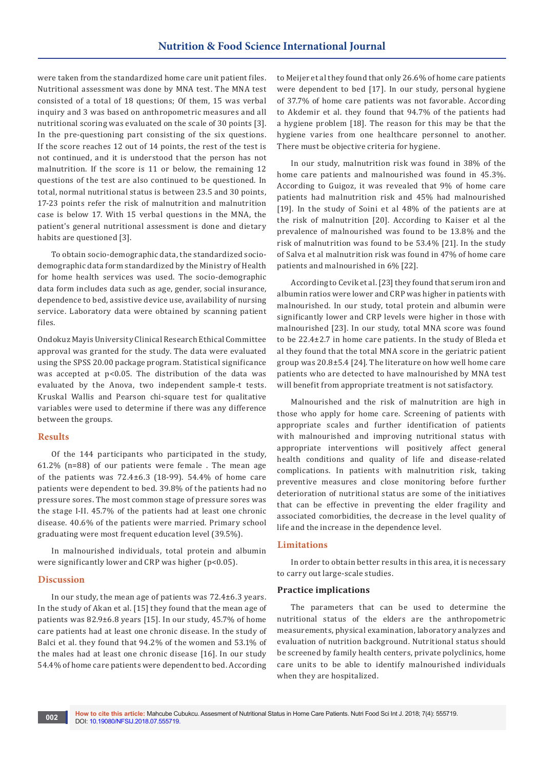were taken from the standardized home care unit patient files. Nutritional assessment was done by MNA test. The MNA test consisted of a total of 18 questions; Of them, 15 was verbal inquiry and 3 was based on anthropometric measures and all nutritional scoring was evaluated on the scale of 30 points [3]. In the pre-questioning part consisting of the six questions. If the score reaches 12 out of 14 points, the rest of the test is not continued, and it is understood that the person has not malnutrition. If the score is 11 or below, the remaining 12 questions of the test are also continued to be questioned. In total, normal nutritional status is between 23.5 and 30 points, 17-23 points refer the risk of malnutrition and malnutrition case is below 17. With 15 verbal questions in the MNA, the patient's general nutritional assessment is done and dietary habits are questioned [3].

To obtain socio-demographic data, the standardized sociodemographic data form standardized by the Ministry of Health for home health services was used. The socio-demographic data form includes data such as age, gender, social insurance, dependence to bed, assistive device use, availability of nursing service. Laboratory data were obtained by scanning patient files.

Ondokuz Mayis University Clinical Research Ethical Committee approval was granted for the study. The data were evaluated using the SPSS 20.00 package program. Statistical significance was accepted at p<0.05. The distribution of the data was evaluated by the Anova, two independent sample-t tests. Kruskal Wallis and Pearson chi-square test for qualitative variables were used to determine if there was any difference between the groups.

## **Results**

Of the 144 participants who participated in the study, 61.2% (n=88) of our patients were female . The mean age of the patients was 72.4±6.3 (18-99). 54.4% of home care patients were dependent to bed. 39.8% of the patients had no pressure sores. The most common stage of pressure sores was the stage I-II. 45.7% of the patients had at least one chronic disease. 40.6% of the patients were married. Primary school graduating were most frequent education level (39.5%).

In malnourished individuals, total protein and albumin were significantly lower and CRP was higher (p<0.05).

# **Discussion**

In our study, the mean age of patients was 72.4±6.3 years. In the study of Akan et al. [15] they found that the mean age of patients was 82.9±6.8 years [15]. In our study, 45.7% of home care patients had at least one chronic disease. In the study of Balci et al. they found that 94.2% of the women and 53.1% of the males had at least one chronic disease [16]. In our study 54.4% of home care patients were dependent to bed. According to Meijer et al they found that only 26.6% of home care patients were dependent to bed [17]. In our study, personal hygiene of 37.7% of home care patients was not favorable. According to Akdemir et al. they found that 94.7% of the patients had a hygiene problem [18]. The reason for this may be that the hygiene varies from one healthcare personnel to another. There must be objective criteria for hygiene.

In our study, malnutrition risk was found in 38% of the home care patients and malnourished was found in 45.3%. According to Guigoz, it was revealed that 9% of home care patients had malnutrition risk and 45% had malnourished [19]. In the study of Soini et al 48% of the patients are at the risk of malnutrition [20]. According to Kaiser et al the prevalence of malnourished was found to be 13.8% and the risk of malnutrition was found to be 53.4% [21]. In the study of Salva et al malnutrition risk was found in 47% of home care patients and malnourished in 6% [22].

According to Cevik et al. [23] they found that serum iron and albumin ratios were lower and CRP was higher in patients with malnourished. In our study, total protein and albumin were significantly lower and CRP levels were higher in those with malnourished [23]. In our study, total MNA score was found to be 22.4±2.7 in home care patients. In the study of Bleda et al they found that the total MNA score in the geriatric patient group was 20.8±5.4 [24]. The literature on how well home care patients who are detected to have malnourished by MNA test will benefit from appropriate treatment is not satisfactory.

Malnourished and the risk of malnutrition are high in those who apply for home care. Screening of patients with appropriate scales and further identification of patients with malnourished and improving nutritional status with appropriate interventions will positively affect general health conditions and quality of life and disease-related complications. In patients with malnutrition risk, taking preventive measures and close monitoring before further deterioration of nutritional status are some of the initiatives that can be effective in preventing the elder fragility and associated comorbidities, the decrease in the level quality of life and the increase in the dependence level.

# **Limitations**

In order to obtain better results in this area, it is necessary to carry out large-scale studies.

#### **Practice implications**

The parameters that can be used to determine the nutritional status of the elders are the anthropometric measurements, physical examination, laboratory analyzes and evaluation of nutrition background. Nutritional status should be screened by family health centers, private polyclinics, home care units to be able to identify malnourished individuals when they are hospitalized.